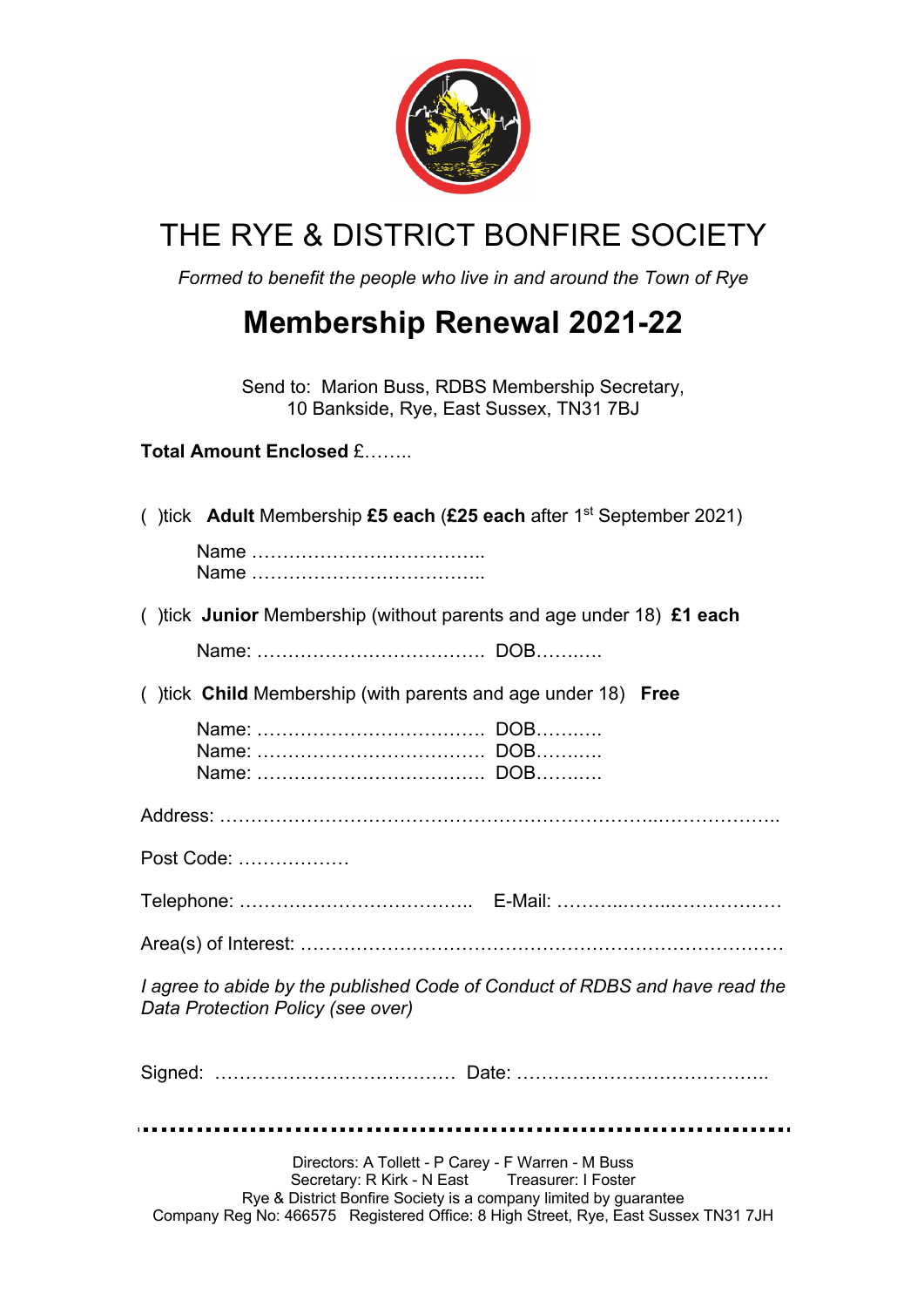

## THE RYE & DISTRICT BONFIRE SOCIETY

*Formed to benefit the people who live in and around the Town of Rye*

## **Membership Renewal 2021-22**

Send to: Marion Buss, RDBS Membership Secretary, 10 Bankside, Rye, East Sussex, TN31 7BJ

## **Total Amount Enclosed** £……..

| () tick Adult Membership £5 each (£25 each after $1st$ September 2021)                                                                                                   |
|--------------------------------------------------------------------------------------------------------------------------------------------------------------------------|
|                                                                                                                                                                          |
| () tick Junior Membership (without parents and age under 18) £1 each                                                                                                     |
|                                                                                                                                                                          |
| () tick Child Membership (with parents and age under 18) Free                                                                                                            |
|                                                                                                                                                                          |
|                                                                                                                                                                          |
| Post Code:                                                                                                                                                               |
|                                                                                                                                                                          |
|                                                                                                                                                                          |
| I agree to abide by the published Code of Conduct of RDBS and have read the<br>Data Protection Policy (see over)                                                         |
|                                                                                                                                                                          |
| Directors: A Tollett - P Carey - F Warren - M Buss<br>Secretary: R Kirk - N East Treasurer: I Foster<br>Rye & District Bonfire Society is a company limited by guarantee |

Company Reg No: 466575 Registered Office: 8 High Street, Rye, East Sussex TN31 7JH